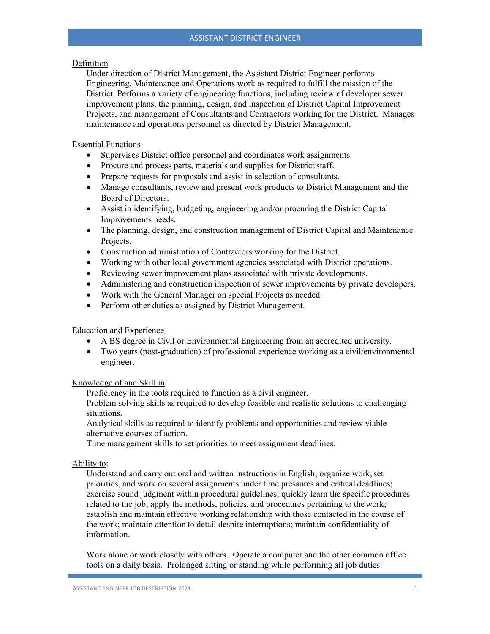# Definition

Under direction of District Management, the Assistant District Engineer performs Engineering, Maintenance and Operations work as required to fulfill the mission of the District. Performs a variety of engineering functions, including review of developer sewer improvement plans, the planning, design, and inspection of District Capital Improvement Projects, and management of Consultants and Contractors working for the District. Manages maintenance and operations personnel as directed by District Management.

# Essential Functions

- Supervises District office personnel and coordinates work assignments.
- Procure and process parts, materials and supplies for District staff.
- Prepare requests for proposals and assist in selection of consultants.
- Manage consultants, review and present work products to District Management and the Board of Directors.
- Assist in identifying, budgeting, engineering and/or procuring the District Capital Improvements needs.
- The planning, design, and construction management of District Capital and Maintenance Projects.
- Construction administration of Contractors working for the District.
- Working with other local government agencies associated with District operations.
- Reviewing sewer improvement plans associated with private developments.
- Administering and construction inspection of sewer improvements by private developers.
- Work with the General Manager on special Projects as needed.
- Perform other duties as assigned by District Management.

# Education and Experience

- A BS degree in Civil or Environmental Engineering from an accredited university.
- Two years (post-graduation) of professional experience working as a civil/environmental engineer.

### Knowledge of and Skill in:

Proficiency in the tools required to function as a civil engineer.

Problem solving skills as required to develop feasible and realistic solutions to challenging situations.

Analytical skills as required to identify problems and opportunities and review viable alternative courses of action.

Time management skills to set priorities to meet assignment deadlines.

### Ability to:

Understand and carry out oral and written instructions in English; organize work, set priorities, and work on several assignments under time pressures and critical deadlines; exercise sound judgment within procedural guidelines; quickly learn the specific procedures related to the job; apply the methods, policies, and procedures pertaining to the work; establish and maintain effective working relationship with those contacted in the course of the work; maintain attention to detail despite interruptions; maintain confidentiality of information.

Work alone or work closely with others. Operate a computer and the other common office tools on a daily basis. Prolonged sitting or standing while performing all job duties.